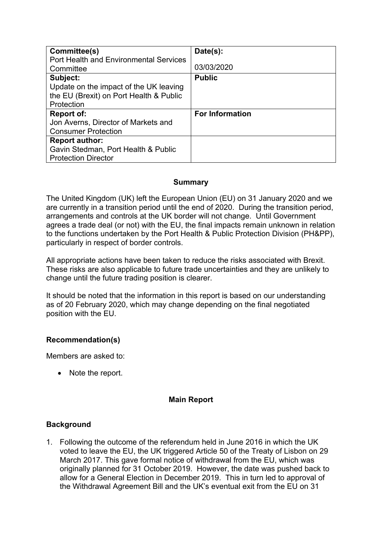| Committee(s)                            | Date(s):               |
|-----------------------------------------|------------------------|
| Port Health and Environmental Services  |                        |
| Committee                               | 03/03/2020             |
| Subject:                                | <b>Public</b>          |
| Update on the impact of the UK leaving  |                        |
| the EU (Brexit) on Port Health & Public |                        |
| Protection                              |                        |
| <b>Report of:</b>                       | <b>For Information</b> |
| Jon Averns, Director of Markets and     |                        |
| <b>Consumer Protection</b>              |                        |
| <b>Report author:</b>                   |                        |
| Gavin Stedman, Port Health & Public     |                        |
| <b>Protection Director</b>              |                        |

### **Summary**

The United Kingdom (UK) left the European Union (EU) on 31 January 2020 and we are currently in a transition period until the end of 2020. During the transition period, arrangements and controls at the UK border will not change. Until Government agrees a trade deal (or not) with the EU, the final impacts remain unknown in relation to the functions undertaken by the Port Health & Public Protection Division (PH&PP), particularly in respect of border controls.

All appropriate actions have been taken to reduce the risks associated with Brexit. These risks are also applicable to future trade uncertainties and they are unlikely to change until the future trading position is clearer.

It should be noted that the information in this report is based on our understanding as of 20 February 2020, which may change depending on the final negotiated position with the EU.

### **Recommendation(s)**

Members are asked to:

• Note the report.

#### **Main Report**

#### **Background**

1. Following the outcome of the referendum held in June 2016 in which the UK voted to leave the EU, the UK triggered Article 50 of the Treaty of Lisbon on 29 March 2017. This gave formal notice of withdrawal from the EU, which was originally planned for 31 October 2019. However, the date was pushed back to allow for a General Election in December 2019. This in turn led to approval of the Withdrawal Agreement Bill and the UK's eventual exit from the EU on 31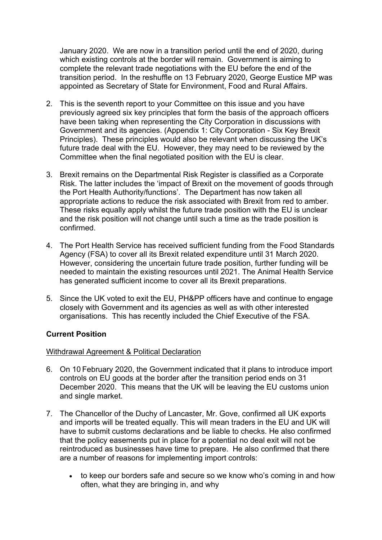January 2020. We are now in a transition period until the end of 2020, during which existing controls at the border will remain. Government is aiming to complete the relevant trade negotiations with the EU before the end of the transition period. In the reshuffle on 13 February 2020, George Eustice MP was appointed as Secretary of State for Environment, Food and Rural Affairs.

- 2. This is the seventh report to your Committee on this issue and you have previously agreed six key principles that form the basis of the approach officers have been taking when representing the City Corporation in discussions with Government and its agencies. (Appendix 1: City Corporation - Six Key Brexit Principles). These principles would also be relevant when discussing the UK's future trade deal with the EU. However, they may need to be reviewed by the Committee when the final negotiated position with the EU is clear.
- 3. Brexit remains on the Departmental Risk Register is classified as a Corporate Risk. The latter includes the 'impact of Brexit on the movement of goods through the Port Health Authority/functions'. The Department has now taken all appropriate actions to reduce the risk associated with Brexit from red to amber. These risks equally apply whilst the future trade position with the EU is unclear and the risk position will not change until such a time as the trade position is confirmed.
- 4. The Port Health Service has received sufficient funding from the Food Standards Agency (FSA) to cover all its Brexit related expenditure until 31 March 2020. However, considering the uncertain future trade position, further funding will be needed to maintain the existing resources until 2021. The Animal Health Service has generated sufficient income to cover all its Brexit preparations.
- 5. Since the UK voted to exit the EU, PH&PP officers have and continue to engage closely with Government and its agencies as well as with other interested organisations. This has recently included the Chief Executive of the FSA.

### **Current Position**

#### Withdrawal Agreement & Political Declaration

- 6. On 10 February 2020, the Government indicated that it plans to introduce import controls on EU goods at the border after the transition period ends on 31 December 2020. This means that the UK will be leaving the EU customs union and single market.
- 7. The Chancellor of the Duchy of Lancaster, Mr. Gove, confirmed all UK exports and imports will be treated equally. This will mean traders in the EU and UK will have to submit customs declarations and be liable to checks. He also confirmed that the policy easements put in place for a potential no deal exit will not be reintroduced as businesses have time to prepare. He also confirmed that there are a number of reasons for implementing import controls:
	- to keep our borders safe and secure so we know who's coming in and how often, what they are bringing in, and why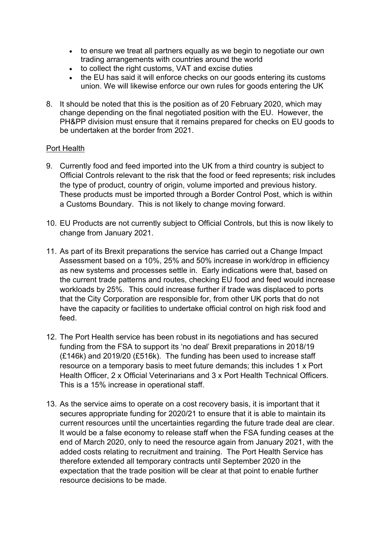- to ensure we treat all partners equally as we begin to negotiate our own trading arrangements with countries around the world
- to collect the right customs, VAT and excise duties
- the EU has said it will enforce checks on our goods entering its customs union. We will likewise enforce our own rules for goods entering the UK
- 8. It should be noted that this is the position as of 20 February 2020, which may change depending on the final negotiated position with the EU. However, the PH&PP division must ensure that it remains prepared for checks on EU goods to be undertaken at the border from 2021.

### Port Health

- 9. Currently food and feed imported into the UK from a third country is subject to Official Controls relevant to the risk that the food or feed represents; risk includes the type of product, country of origin, volume imported and previous history. These products must be imported through a Border Control Post, which is within a Customs Boundary. This is not likely to change moving forward.
- 10. EU Products are not currently subject to Official Controls, but this is now likely to change from January 2021.
- 11. As part of its Brexit preparations the service has carried out a Change Impact Assessment based on a 10%, 25% and 50% increase in work/drop in efficiency as new systems and processes settle in. Early indications were that, based on the current trade patterns and routes, checking EU food and feed would increase workloads by 25%. This could increase further if trade was displaced to ports that the City Corporation are responsible for, from other UK ports that do not have the capacity or facilities to undertake official control on high risk food and feed.
- 12. The Port Health service has been robust in its negotiations and has secured funding from the FSA to support its 'no deal' Brexit preparations in 2018/19 (£146k) and 2019/20 (£516k). The funding has been used to increase staff resource on a temporary basis to meet future demands; this includes 1 x Port Health Officer, 2 x Official Veterinarians and 3 x Port Health Technical Officers. This is a 15% increase in operational staff.
- 13. As the service aims to operate on a cost recovery basis, it is important that it secures appropriate funding for 2020/21 to ensure that it is able to maintain its current resources until the uncertainties regarding the future trade deal are clear. It would be a false economy to release staff when the FSA funding ceases at the end of March 2020, only to need the resource again from January 2021, with the added costs relating to recruitment and training. The Port Health Service has therefore extended all temporary contracts until September 2020 in the expectation that the trade position will be clear at that point to enable further resource decisions to be made.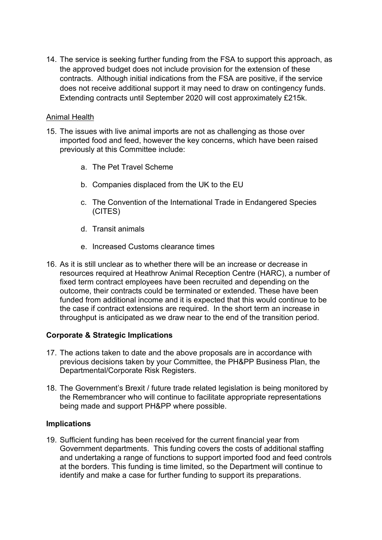14. The service is seeking further funding from the FSA to support this approach, as the approved budget does not include provision for the extension of these contracts. Although initial indications from the FSA are positive, if the service does not receive additional support it may need to draw on contingency funds. Extending contracts until September 2020 will cost approximately £215k.

#### Animal Health

- 15. The issues with live animal imports are not as challenging as those over imported food and feed, however the key concerns, which have been raised previously at this Committee include:
	- a. The Pet Travel Scheme
	- b. Companies displaced from the UK to the EU
	- c. The Convention of the International Trade in Endangered Species (CITES)
	- d. Transit animals
	- e. Increased Customs clearance times
- 16. As it is still unclear as to whether there will be an increase or decrease in resources required at Heathrow Animal Reception Centre (HARC), a number of fixed term contract employees have been recruited and depending on the outcome, their contracts could be terminated or extended. These have been funded from additional income and it is expected that this would continue to be the case if contract extensions are required. In the short term an increase in throughput is anticipated as we draw near to the end of the transition period.

### **Corporate & Strategic Implications**

- 17. The actions taken to date and the above proposals are in accordance with previous decisions taken by your Committee, the PH&PP Business Plan, the Departmental/Corporate Risk Registers.
- 18. The Government's Brexit / future trade related legislation is being monitored by the Remembrancer who will continue to facilitate appropriate representations being made and support PH&PP where possible.

#### **Implications**

19. Sufficient funding has been received for the current financial year from Government departments. This funding covers the costs of additional staffing and undertaking a range of functions to support imported food and feed controls at the borders. This funding is time limited, so the Department will continue to identify and make a case for further funding to support its preparations.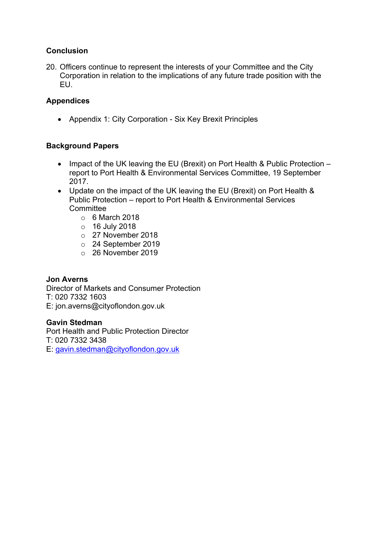## **Conclusion**

20. Officers continue to represent the interests of your Committee and the City Corporation in relation to the implications of any future trade position with the EU.

## **Appendices**

Appendix 1: City Corporation - Six Key Brexit Principles

### **Background Papers**

- Impact of the UK leaving the EU (Brexit) on Port Health & Public Protection report to Port Health & Environmental Services Committee, 19 September 2017.
- Update on the impact of the UK leaving the EU (Brexit) on Port Health & Public Protection – report to Port Health & Environmental Services **Committee** 
	- $\circ$  6 March 2018
	- o 16 July 2018
	- o 27 November 2018
	- o 24 September 2019
	- o 26 November 2019

### **Jon Averns**

Director of Markets and Consumer Protection T: 020 7332 1603 E: jon.averns@cityoflondon.gov.uk

#### **Gavin Stedman**

Port Health and Public Protection Director T: 020 7332 3438 E: [gavin.stedman@cityoflondon.gov.uk](mailto:gavin.stedman@cityoflondon.gov.uk)